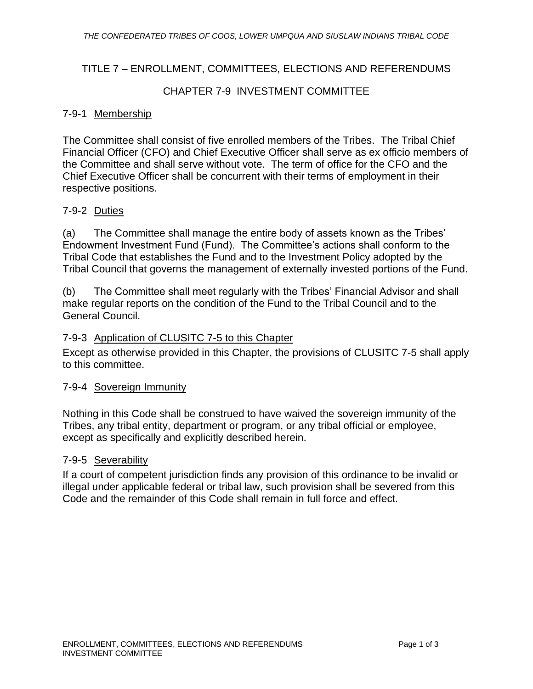# TITLE 7 – ENROLLMENT, COMMITTEES, ELECTIONS AND REFERENDUMS

# CHAPTER 7-9 INVESTMENT COMMITTEE

#### 7-9-1 Membership

The Committee shall consist of five enrolled members of the Tribes. The Tribal Chief Financial Officer (CFO) and Chief Executive Officer shall serve as ex officio members of the Committee and shall serve without vote. The term of office for the CFO and the Chief Executive Officer shall be concurrent with their terms of employment in their respective positions.

# 7-9-2 Duties

(a) The Committee shall manage the entire body of assets known as the Tribes' Endowment Investment Fund (Fund). The Committee's actions shall conform to the Tribal Code that establishes the Fund and to the Investment Policy adopted by the Tribal Council that governs the management of externally invested portions of the Fund.

(b) The Committee shall meet regularly with the Tribes' Financial Advisor and shall make regular reports on the condition of the Fund to the Tribal Council and to the General Council.

#### 7-9-3 Application of CLUSITC 7-5 to this Chapter

Except as otherwise provided in this Chapter, the provisions of CLUSITC 7-5 shall apply to this committee.

#### 7-9-4 Sovereign Immunity

Nothing in this Code shall be construed to have waived the sovereign immunity of the Tribes, any tribal entity, department or program, or any tribal official or employee, except as specifically and explicitly described herein.

#### 7-9-5 Severability

If a court of competent jurisdiction finds any provision of this ordinance to be invalid or illegal under applicable federal or tribal law, such provision shall be severed from this Code and the remainder of this Code shall remain in full force and effect.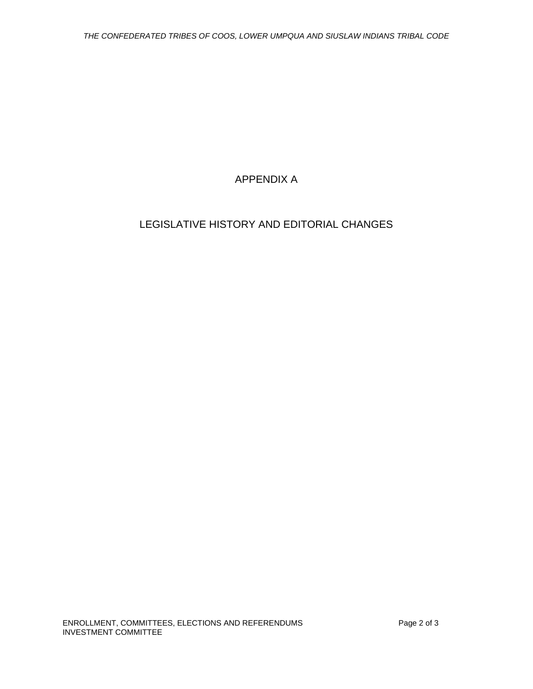# APPENDIX A

# LEGISLATIVE HISTORY AND EDITORIAL CHANGES